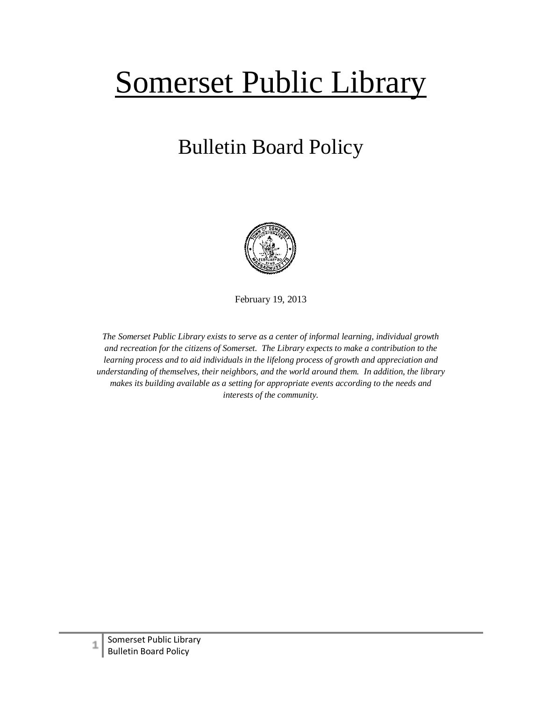## Somerset Public Library

## Bulletin Board Policy



February 19, 2013

*The Somerset Public Library exists to serve as a center of informal learning, individual growth and recreation for the citizens of Somerset. The Library expects to make a contribution to the learning process and to aid individuals in the lifelong process of growth and appreciation and understanding of themselves, their neighbors, and the world around them. In addition, the library makes its building available as a setting for appropriate events according to the needs and interests of the community.*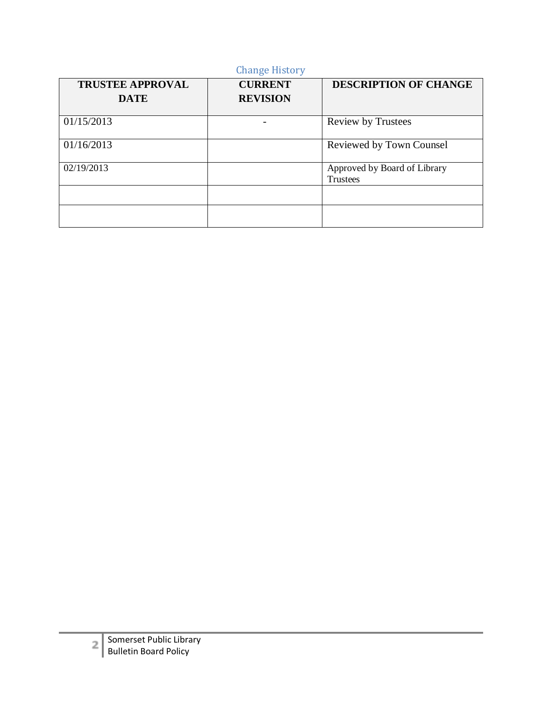| <b>Change History</b>                  |                                   |                                                 |
|----------------------------------------|-----------------------------------|-------------------------------------------------|
| <b>TRUSTEE APPROVAL</b><br><b>DATE</b> | <b>CURRENT</b><br><b>REVISION</b> | <b>DESCRIPTION OF CHANGE</b>                    |
| 01/15/2013                             |                                   | <b>Review by Trustees</b>                       |
| 01/16/2013                             |                                   | Reviewed by Town Counsel                        |
| 02/19/2013                             |                                   | Approved by Board of Library<br><b>Trustees</b> |
|                                        |                                   |                                                 |
|                                        |                                   |                                                 |